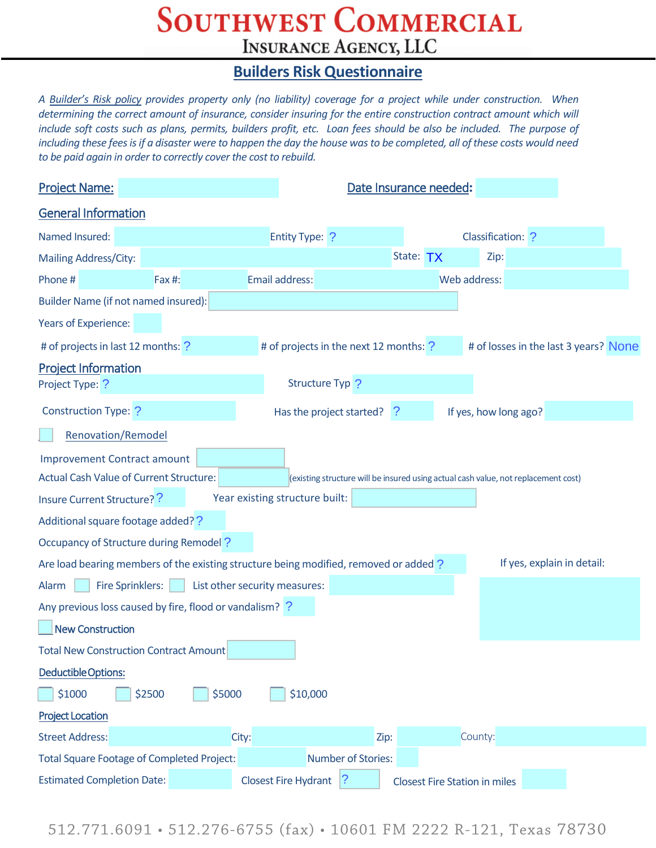## **SOUTHWEST COMMERCIAL INSURANCE AGENCY, LLC**

## **Builders Risk Questionnaire**

*A Builder's Risk policy provides property only (no liability) coverage for a project while under construction. When determining the correct amount of insurance, consider insuring for the entire construction contract amount which will include soft costs such as plans, permits, builders profit, etc. Loan fees should be also be included. The purpose of including these fees is if a disaster were to happen the day the house was to be completed, all of these costs would need to be paid again in order to correctly cover the cost to rebuild.*

| <b>Project Name:</b>                                                                                                                 |                                | Date Insurance needed:                 |                                      |                                       |  |  |
|--------------------------------------------------------------------------------------------------------------------------------------|--------------------------------|----------------------------------------|--------------------------------------|---------------------------------------|--|--|
| <b>General Information</b>                                                                                                           |                                |                                        |                                      |                                       |  |  |
| Named Insured:                                                                                                                       | <b>Entity Type: ?</b>          |                                        | Classification: ?                    |                                       |  |  |
| Mailing Address/City:                                                                                                                |                                |                                        | State: TX<br>Zip:                    |                                       |  |  |
| Phone#<br><b>Fax #:</b>                                                                                                              | Email address:                 |                                        | Web address:                         |                                       |  |  |
| Builder Name (if not named insured):                                                                                                 |                                |                                        |                                      |                                       |  |  |
| Years of Experience:                                                                                                                 |                                |                                        |                                      |                                       |  |  |
| # of projects in last 12 months: ?                                                                                                   |                                | # of projects in the next 12 months: ? |                                      | # of losses in the last 3 years? None |  |  |
| <b>Project Information</b>                                                                                                           |                                |                                        |                                      |                                       |  |  |
| Project Type: ?                                                                                                                      |                                | Structure Typ ?                        |                                      |                                       |  |  |
| Construction Type: ?                                                                                                                 |                                | Has the project started?<br>-?         | If yes, how long ago?                |                                       |  |  |
| Renovation/Remodel                                                                                                                   |                                |                                        |                                      |                                       |  |  |
| <b>Improvement Contract amount</b>                                                                                                   |                                |                                        |                                      |                                       |  |  |
| <b>Actual Cash Value of Current Structure:</b><br>(existing structure will be insured using actual cash value, not replacement cost) |                                |                                        |                                      |                                       |  |  |
| Insure Current Structure? ?                                                                                                          | Year existing structure built: |                                        |                                      |                                       |  |  |
| Additional square footage added??                                                                                                    |                                |                                        |                                      |                                       |  |  |
| Occupancy of Structure during Remodel?                                                                                               |                                |                                        |                                      |                                       |  |  |
| If yes, explain in detail:<br>Are load bearing members of the existing structure being modified, removed or added?                   |                                |                                        |                                      |                                       |  |  |
| <b>Fire Sprinklers:</b><br>Alarm                                                                                                     | List other security measures:  |                                        |                                      |                                       |  |  |
| Any previous loss caused by fire, flood or vandalism? ?                                                                              |                                |                                        |                                      |                                       |  |  |
| <b>New Construction</b>                                                                                                              |                                |                                        |                                      |                                       |  |  |
| <b>Total New Construction Contract Amount</b>                                                                                        |                                |                                        |                                      |                                       |  |  |
| Deductible Options:                                                                                                                  |                                |                                        |                                      |                                       |  |  |
| \$1000<br>\$2500                                                                                                                     | \$5000<br>\$10,000             |                                        |                                      |                                       |  |  |
| <b>Project Location</b>                                                                                                              |                                |                                        |                                      |                                       |  |  |
| <b>Street Address:</b>                                                                                                               | City:                          | Zip:                                   | County:                              |                                       |  |  |
| Number of Stories:<br><b>Total Square Footage of Completed Project:</b>                                                              |                                |                                        |                                      |                                       |  |  |
| <b>Estimated Completion Date:</b>                                                                                                    | <b>Closest Fire Hydrant</b>    | ?                                      | <b>Closest Fire Station in miles</b> |                                       |  |  |

512.771.6091 • 512.276-6755 (fax) • 10601 FM 2222 R-121, Texas 78730